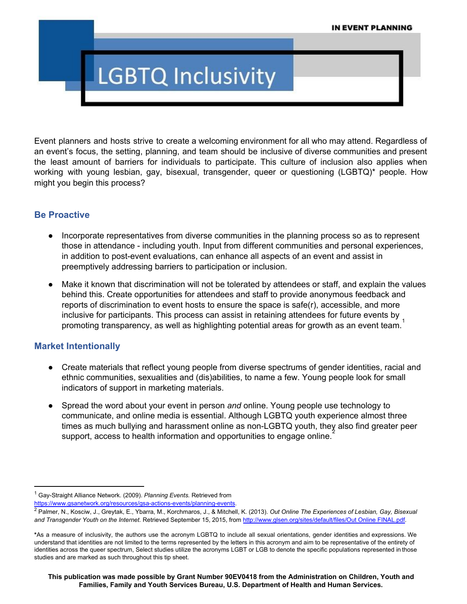# **LGBTQ Inclusivity**

Event planners and hosts strive to create a welcoming environment for all who may attend. Regardless of an event's focus, the setting, planning, and team should be inclusive of diverse communities and present the least amount of barriers for individuals to participate. This culture of inclusion also applies when working with young lesbian, gay, bisexual, transgender, queer or questioning (LGBTQ)\* people. How might you begin this process?

#### **Be Proactive**

- Incorporate representatives from diverse communities in the planning process so as to represent those in attendance - including youth. Input from different communities and personal experiences, in addition to post-event evaluations, can enhance all aspects of an event and assist in preemptively addressing barriers to participation or inclusion.
- Make it known that discrimination will not be tolerated by attendees or staff, and explain the values behind this. Create opportunities for attendees and staff to provide anonymous feedback and reports of discrimination to event hosts to ensure the space is safe(r), accessible, and more inclusive for participants. This process can assist in retaining attendees for future events by  $\frac{1}{1}$ promoting transparency, as well as highlighting potential areas for growth as an event team.

#### **Market Intentionally**

- Create materials that reflect young people from diverse spectrums of gender identities, racial and ethnic communities, sexualities and (dis)abilities, to name a few. Young people look for small indicators of support in marketing materials.
- Spread the word about your event in person *and* online. Young people use technology to communicate, and online media is essential. Although LGBTQ youth experience almost three times as much bullying and harassment online as non-LGBTQ youth, they also find greater peer support, access to health information and opportunities to engage online.<sup>2</sup>

https://www.gsanetwork.org/resources/gsa-actions-events/planning-events.

<sup>&</sup>lt;sup>1</sup> Gay-Straight Alliance Network. (2009). *Planning Events.* Retrieved fro[m](https://www.gsanetwork.org/resources/gsa-actions-events/planning-events)

<sup>2</sup> Palmer, N., Kosciw, J., Greytak, E., Ybarra, M., Korchmaros, J., & Mitchell, K. (2013). *Out Online The Experiences of Lesbian, Gay, Bisexual and Transgender Youth on the Internet.* Retrieved September 15, 2015, fro[m](http://www.glsen.org/sites/default/files/Out%20Online%20FINAL.pdf) [http://www.glsen.org/sites/default/files/Out](http://www.glsen.org/sites/default/files/Out%20Online%20FINAL.pdf) Online FINAL.pdf.

**<sup>\*</sup>**As a measure of inclusivity, the authors use the acronym LGBTQ to include all sexual orientations, gender identities and expressions. We understand that identities are not limited to the terms represented by the letters in this acronym and aim to be representative of the entirety of identities across the queer spectrum, Select studies utilize the acronyms LGBT or LGB to denote the specific populations represented in those studies and are marked as such throughout this tip sheet.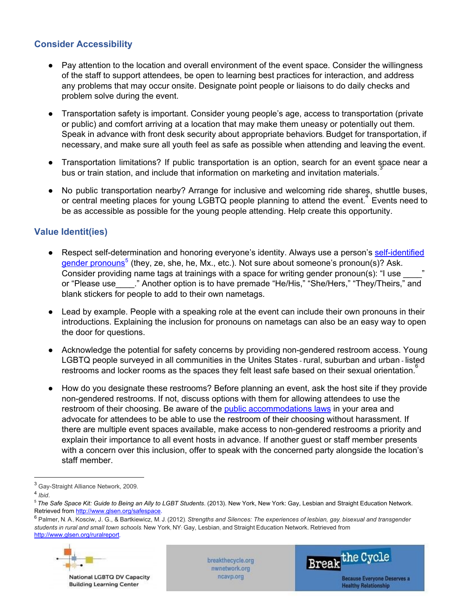# **Consider Accessibility**

- Pay attention to the location and overall environment of the event space. Consider the willingness of the staff to support attendees, be open to learning best practices for interaction, and address any problems that may occur onsite. Designate point people or liaisons to do daily checks and problem solve during the event.
- Transportation safety is important. Consider young people's age, access to transportation (private or public) and comfort arriving at a location that may make them uneasy or potentially out them. Speak in advance with front desk security about appropriate behaviors. Budget for transportation, if necessary, and make sure all youth feel as safe as possible when attending and leaving the event.
- Transportation limitations? If public transportation is an option, search for an event space near a bus or train station, and include that information on marketing and invitation materials. 3
- No public transportation nearby? Arrange for inclusive and welcoming ride shares, shuttle buses, or central meeting places for young LGBTQ people planning to attend the event.<sup>4</sup> Events need to be as accessible as possible for the young people attending. Help create this opportunity.

# **Value Identit(ies)**

- Re[s](https://forge-forward.org/2010/02/gender-neutral-pronouns/)pect self-determination and honoring everyone's identity. Always use a person's self-identified gender [pronouns](https://forge-forward.org/2010/02/gender-neutral-pronouns/)<sup>5</sup> (they, ze, she, he, Mx., etc.). Not sure about someone's pronoun(s)? Ask. Consider providing name tags at trainings with a space for writing gender pronoun(s): "I use or "Please use\_\_\_\_\_." Another option is to have premade "He/His," "She/Hers," "They/Theirs," and blank stickers for people to add to their own nametags.
- Lead by example. People with a speaking role at the event can include their own pronouns in their introductions. Explaining the inclusion for pronouns on nametags can also be an easy way to open the door for questions.
- Acknowledge the potential for safety concerns by providing non-gendered restroom access. Young LGBTQ people surveyed in all communities in the Unites States rural, suburban and urban listed restrooms and locker rooms as the spaces they felt least safe based on their sexual orientation.<sup>6</sup>
- How do you designate these restrooms? Before planning an event, ask the host site if they provide non-gendered restrooms. If not, discuss options with them for allowing attendees to use the restroom of their choosing. Be aware of the [p](http://www.lgbtmap.org/equality-maps/non_discrimination_laws)ublic [accommodations](http://www.lgbtmap.org/equality-maps/non_discrimination_laws) laws in your area and advocate for attendees to be able to use the restroom of their choosing without harassment. If there are multiple event spaces available, make access to non-gendered restrooms a priority and explain their importance to all event hosts in advance. If another guest or staff member presents with a concern over this inclusion, offer to speak with the concerned party alongside the location's staff member.

<sup>&</sup>lt;sup>6</sup> Palmer, N. A., Kosciw, J. G., & Bartkiewicz, M. J. (2012). Strengths and Silences: The experiences of lesbian, gay, bisexual and transgender *students in rural and small town schools.* New York, NY: Gay, Lesbian, and Straight Education Network. Retrieved fro[m](http://www.glsen.org/ruralreport) <http://www.glsen.org/ruralreport>,



National LGBTQ DV Capacity **Building Learning Center** 

breakthecycle.org nwnetwork.org ncavp.org



<sup>&</sup>lt;sup>3</sup> Gay-Straight Alliance Network, 2009.

<sup>4</sup> *Ibid*.

<sup>&</sup>lt;sup>5</sup> The Safe Sp[ac](http://www.glsen.org/safespace)e Kit: Guide to Being an Ally to LGBT Students. (2013). New York, New York: Gay, Lesbian and Straight Education Network. Retrieved from [http://www.glsen.org/safespace.](http://www.glsen.org/safespace)